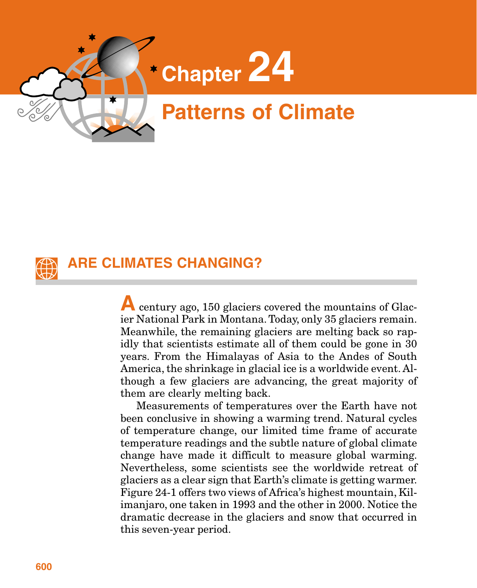

## **ARE CLIMATES CHANGING?**

**A** century ago, 150 glaciers covered the mountains of Glacier National Park in Montana. Today, only 35 glaciers remain. Meanwhile, the remaining glaciers are melting back so rapidly that scientists estimate all of them could be gone in 30 years. From the Himalayas of Asia to the Andes of South America, the shrinkage in glacial ice is a worldwide event. Although a few glaciers are advancing, the great majority of them are clearly melting back.

Measurements of temperatures over the Earth have not been conclusive in showing a warming trend. Natural cycles of temperature change, our limited time frame of accurate temperature readings and the subtle nature of global climate change have made it difficult to measure global warming. Nevertheless, some scientists see the worldwide retreat of glaciers as a clear sign that Earth's climate is getting warmer. Figure 24-1 offers two views of Africa's highest mountain, Kilimanjaro, one taken in 1993 and the other in 2000. Notice the dramatic decrease in the glaciers and snow that occurred in this seven-year period.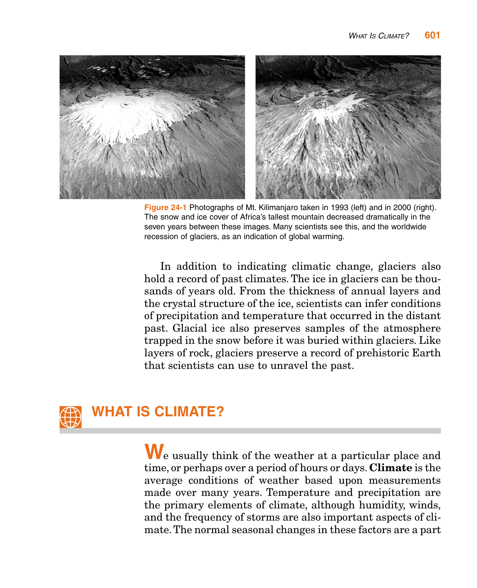

**Figure 24-1** Photographs of Mt. Kilimanjaro taken in 1993 (left) and in 2000 (right). The snow and ice cover of Africa's tallest mountain decreased dramatically in the seven years between these images. Many scientists see this, and the worldwide recession of glaciers, as an indication of global warming.

In addition to indicating climatic change, glaciers also hold a record of past climates. The ice in glaciers can be thousands of years old. From the thickness of annual layers and the crystal structure of the ice, scientists can infer conditions of precipitation and temperature that occurred in the distant past. Glacial ice also preserves samples of the atmosphere trapped in the snow before it was buried within glaciers. Like layers of rock, glaciers preserve a record of prehistoric Earth that scientists can use to unravel the past.



**W**e usually think of the weather at a particular place and time, or perhaps over a period of hours or days. **Climate** is the average conditions of weather based upon measurements made over many years. Temperature and precipitation are the primary elements of climate, although humidity, winds, and the frequency of storms are also important aspects of climate. The normal seasonal changes in these factors are a part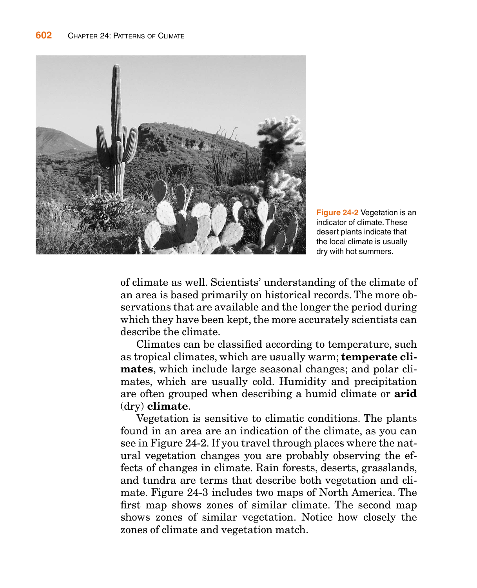

**Figure 24-2** Vegetation is an indicator of climate. These desert plants indicate that the local climate is usually dry with hot summers.

of climate as well. Scientists' understanding of the climate of an area is based primarily on historical records. The more observations that are available and the longer the period during which they have been kept, the more accurately scientists can describe the climate.

Climates can be classified according to temperature, such as tropical climates, which are usually warm; **temperate climates**, which include large seasonal changes; and polar climates, which are usually cold. Humidity and precipitation are often grouped when describing a humid climate or **arid** (dry) **climate**.

Vegetation is sensitive to climatic conditions. The plants found in an area are an indication of the climate, as you can see in Figure 24-2. If you travel through places where the natural vegetation changes you are probably observing the effects of changes in climate. Rain forests, deserts, grasslands, and tundra are terms that describe both vegetation and climate. Figure 24-3 includes two maps of North America. The first map shows zones of similar climate. The second map shows zones of similar vegetation. Notice how closely the zones of climate and vegetation match.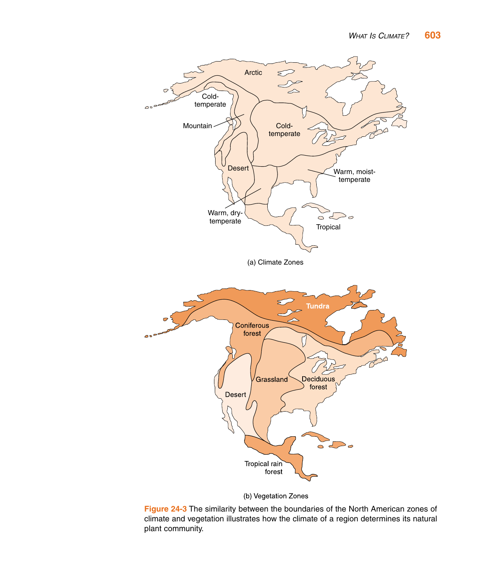

(b) Vegetation Zones

**Figure 24-3** The similarity between the boundaries of the North American zones of climate and vegetation illustrates how the climate of a region determines its natural plant community.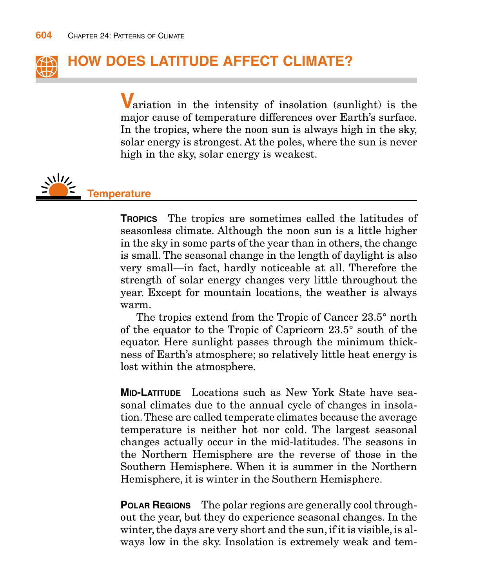# **HOW DOES LATITUDE AFFECT CLIMATE?**

**V**ariation in the intensity of insolation (sunlight) is the major cause of temperature differences over Earth's surface. In the tropics, where the noon sun is always high in the sky, solar energy is strongest. At the poles, where the sun is never high in the sky, solar energy is weakest.



**TROPICS** The tropics are sometimes called the latitudes of seasonless climate. Although the noon sun is a little higher in the sky in some parts of the year than in others, the change is small. The seasonal change in the length of daylight is also very small—in fact, hardly noticeable at all. Therefore the strength of solar energy changes very little throughout the year. Except for mountain locations, the weather is always warm.

The tropics extend from the Tropic of Cancer 23.5° north of the equator to the Tropic of Capricorn 23.5° south of the equator. Here sunlight passes through the minimum thickness of Earth's atmosphere; so relatively little heat energy is lost within the atmosphere.

**MID-LATITUDE** Locations such as New York State have seasonal climates due to the annual cycle of changes in insolation.These are called temperate climates because the average temperature is neither hot nor cold. The largest seasonal changes actually occur in the mid-latitudes. The seasons in the Northern Hemisphere are the reverse of those in the Southern Hemisphere. When it is summer in the Northern Hemisphere, it is winter in the Southern Hemisphere.

**POLAR REGIONS** The polar regions are generally cool throughout the year, but they do experience seasonal changes. In the winter, the days are very short and the sun, if it is visible, is always low in the sky. Insolation is extremely weak and tem-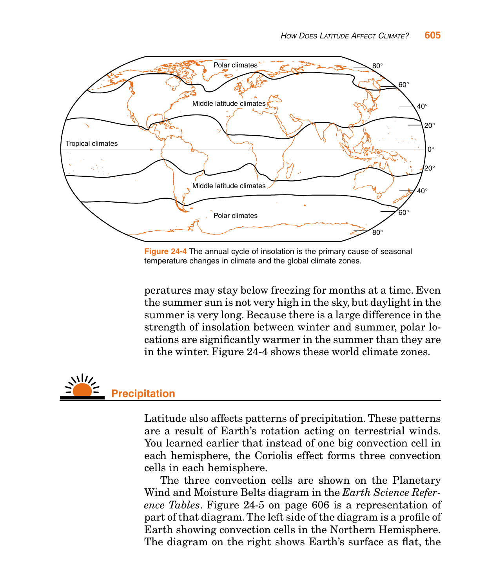

**Figure 24-4** The annual cycle of insolation is the primary cause of seasonal temperature changes in climate and the global climate zones.

peratures may stay below freezing for months at a time. Even the summer sun is not very high in the sky, but daylight in the summer is very long. Because there is a large difference in the strength of insolation between winter and summer, polar locations are significantly warmer in the summer than they are in the winter. Figure 24-4 shows these world climate zones.



Latitude also affects patterns of precipitation. These patterns are a result of Earth's rotation acting on terrestrial winds. You learned earlier that instead of one big convection cell in each hemisphere, the Coriolis effect forms three convection cells in each hemisphere.

The three convection cells are shown on the Planetary Wind and Moisture Belts diagram in the *Earth Science Reference Tables*. Figure 24-5 on page 606 is a representation of part of that diagram.The left side of the diagram is a profile of Earth showing convection cells in the Northern Hemisphere. The diagram on the right shows Earth's surface as flat, the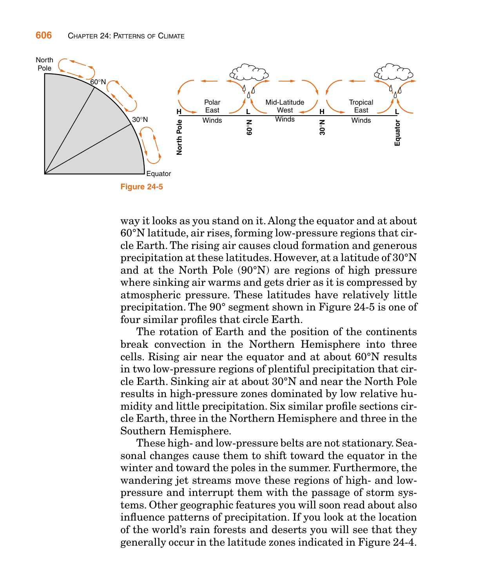

way it looks as you stand on it. Along the equator and at about 60°N latitude, air rises, forming low-pressure regions that circle Earth. The rising air causes cloud formation and generous precipitation at these latitudes. However, at a latitude of 30°N and at the North Pole (90°N) are regions of high pressure where sinking air warms and gets drier as it is compressed by atmospheric pressure. These latitudes have relatively little precipitation. The 90° segment shown in Figure 24-5 is one of four similar profiles that circle Earth.

The rotation of Earth and the position of the continents break convection in the Northern Hemisphere into three cells. Rising air near the equator and at about 60°N results in two low-pressure regions of plentiful precipitation that circle Earth. Sinking air at about 30°N and near the North Pole results in high-pressure zones dominated by low relative humidity and little precipitation. Six similar profile sections circle Earth, three in the Northern Hemisphere and three in the Southern Hemisphere.

These high- and low-pressure belts are not stationary. Seasonal changes cause them to shift toward the equator in the winter and toward the poles in the summer. Furthermore, the wandering jet streams move these regions of high- and lowpressure and interrupt them with the passage of storm systems. Other geographic features you will soon read about also influence patterns of precipitation. If you look at the location of the world's rain forests and deserts you will see that they generally occur in the latitude zones indicated in Figure 24-4.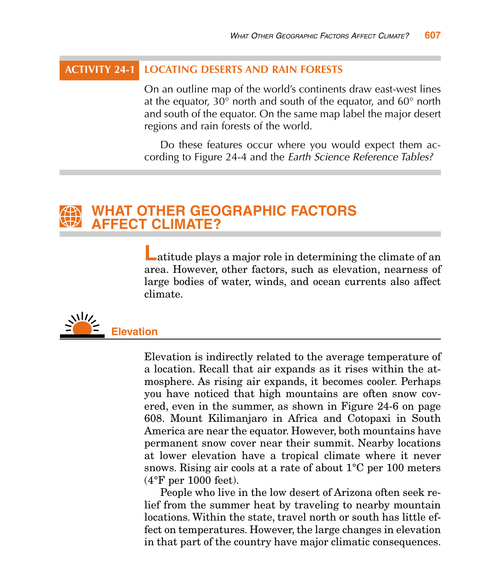## **ACTIVITY 24-1 LOCATING DESERTS AND RAIN FORESTS**

On an outline map of the world's continents draw east-west lines at the equator, 30° north and south of the equator, and 60° north and south of the equator. On the same map label the major desert regions and rain forests of the world.

Do these features occur where you would expect them according to Figure 24-4 and the *Earth Science Reference Tables?*

## **WHAT OTHER GEOGRAPHIC FACTORS AFFECT CLIMATE?**

atitude plays a major role in determining the climate of an area. However, other factors, such as elevation, nearness of large bodies of water, winds, and ocean currents also affect climate.



Elevation is indirectly related to the average temperature of a location. Recall that air expands as it rises within the atmosphere. As rising air expands, it becomes cooler. Perhaps you have noticed that high mountains are often snow covered, even in the summer, as shown in Figure 24-6 on page 608. Mount Kilimanjaro in Africa and Cotopaxi in South America are near the equator. However, both mountains have permanent snow cover near their summit. Nearby locations at lower elevation have a tropical climate where it never snows. Rising air cools at a rate of about  $1^{\circ}$ C per 100 meters (4°F per 1000 feet).

People who live in the low desert of Arizona often seek relief from the summer heat by traveling to nearby mountain locations. Within the state, travel north or south has little effect on temperatures. However, the large changes in elevation in that part of the country have major climatic consequences.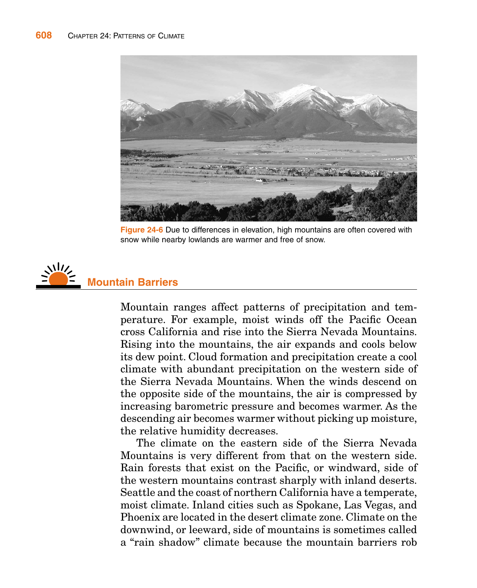

**Figure 24-6** Due to differences in elevation, high mountains are often covered with snow while nearby lowlands are warmer and free of snow.



Mountain ranges affect patterns of precipitation and temperature. For example, moist winds off the Pacific Ocean cross California and rise into the Sierra Nevada Mountains. Rising into the mountains, the air expands and cools below its dew point. Cloud formation and precipitation create a cool climate with abundant precipitation on the western side of the Sierra Nevada Mountains. When the winds descend on the opposite side of the mountains, the air is compressed by increasing barometric pressure and becomes warmer. As the descending air becomes warmer without picking up moisture, the relative humidity decreases.

The climate on the eastern side of the Sierra Nevada Mountains is very different from that on the western side. Rain forests that exist on the Pacific, or windward, side of the western mountains contrast sharply with inland deserts. Seattle and the coast of northern California have a temperate, moist climate. Inland cities such as Spokane, Las Vegas, and Phoenix are located in the desert climate zone. Climate on the downwind, or leeward, side of mountains is sometimes called a "rain shadow" climate because the mountain barriers rob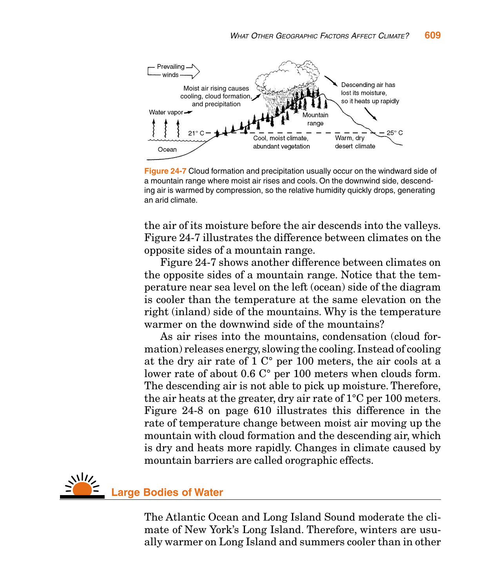

**Figure 24-7** Cloud formation and precipitation usually occur on the windward side of a mountain range where moist air rises and cools. On the downwind side, descending air is warmed by compression, so the relative humidity quickly drops, generating an arid climate.

the air of its moisture before the air descends into the valleys. Figure 24-7 illustrates the difference between climates on the opposite sides of a mountain range.

Figure 24-7 shows another difference between climates on the opposite sides of a mountain range. Notice that the temperature near sea level on the left (ocean) side of the diagram is cooler than the temperature at the same elevation on the right (inland) side of the mountains. Why is the temperature warmer on the downwind side of the mountains?

As air rises into the mountains, condensation (cloud formation) releases energy, slowing the cooling. Instead of cooling at the dry air rate of 1 C° per 100 meters, the air cools at a lower rate of about 0.6 C° per 100 meters when clouds form. The descending air is not able to pick up moisture. Therefore, the air heats at the greater, dry air rate of 1°C per 100 meters. Figure 24-8 on page 610 illustrates this difference in the rate of temperature change between moist air moving up the mountain with cloud formation and the descending air, which is dry and heats more rapidly. Changes in climate caused by mountain barriers are called orographic effects.



The Atlantic Ocean and Long Island Sound moderate the climate of New York's Long Island. Therefore, winters are usually warmer on Long Island and summers cooler than in other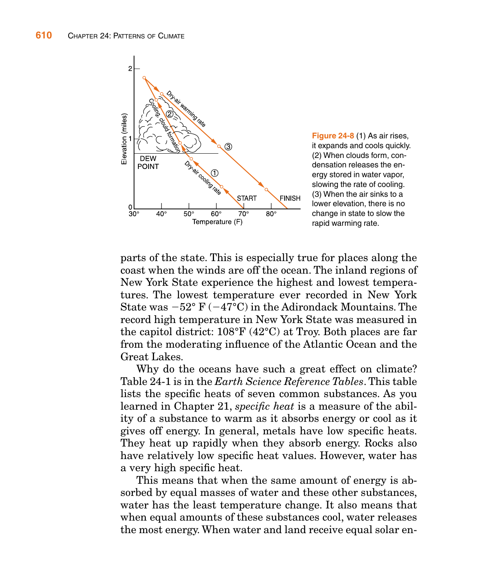

**Figure 24-8** (1) As air rises, it expands and cools quickly. (2) When clouds form, condensation releases the energy stored in water vapor, slowing the rate of cooling. (3) When the air sinks to a lower elevation, there is no change in state to slow the rapid warming rate.

parts of the state. This is especially true for places along the coast when the winds are off the ocean. The inland regions of New York State experience the highest and lowest temperatures. The lowest temperature ever recorded in New York State was  $-52^{\circ}$  F ( $-47^{\circ}\mathrm{C}$ ) in the Adirondack Mountains. The record high temperature in New York State was measured in the capitol district: 108°F (42°C) at Troy. Both places are far from the moderating influence of the Atlantic Ocean and the Great Lakes.

Why do the oceans have such a great effect on climate? Table 24-1 is in the *Earth Science Reference Tables*. This table lists the specific heats of seven common substances. As you learned in Chapter 21, *specific heat* is a measure of the ability of a substance to warm as it absorbs energy or cool as it gives off energy. In general, metals have low specific heats. They heat up rapidly when they absorb energy. Rocks also have relatively low specific heat values. However, water has a very high specific heat.

This means that when the same amount of energy is absorbed by equal masses of water and these other substances, water has the least temperature change. It also means that when equal amounts of these substances cool, water releases the most energy. When water and land receive equal solar en-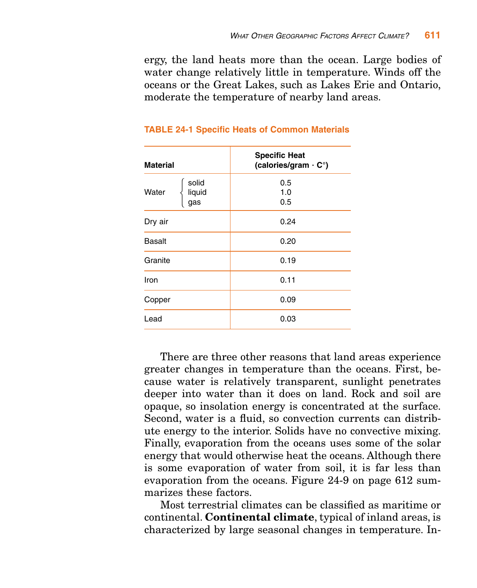ergy, the land heats more than the ocean. Large bodies of water change relatively little in temperature. Winds off the oceans or the Great Lakes, such as Lakes Erie and Ontario, moderate the temperature of nearby land areas.

| <b>Material</b>                 | <b>Specific Heat</b><br>(calories/gram $\cdot$ C°) |  |
|---------------------------------|----------------------------------------------------|--|
| solid<br>Water<br>liquid<br>gas | 0.5<br>1.0<br>0.5                                  |  |
| Dry air                         | 0.24                                               |  |
| <b>Basalt</b>                   | 0.20                                               |  |
| Granite                         | 0.19                                               |  |
| Iron                            | 0.11                                               |  |
| Copper                          | 0.09                                               |  |
| Lead                            | 0.03                                               |  |

#### **TABLE 24-1 Specific Heats of Common Materials**

There are three other reasons that land areas experience greater changes in temperature than the oceans. First, because water is relatively transparent, sunlight penetrates deeper into water than it does on land. Rock and soil are opaque, so insolation energy is concentrated at the surface. Second, water is a fluid, so convection currents can distribute energy to the interior. Solids have no convective mixing. Finally, evaporation from the oceans uses some of the solar energy that would otherwise heat the oceans. Although there is some evaporation of water from soil, it is far less than evaporation from the oceans. Figure 24-9 on page 612 summarizes these factors.

Most terrestrial climates can be classified as maritime or continental. **Continental climate**, typical of inland areas, is characterized by large seasonal changes in temperature. In-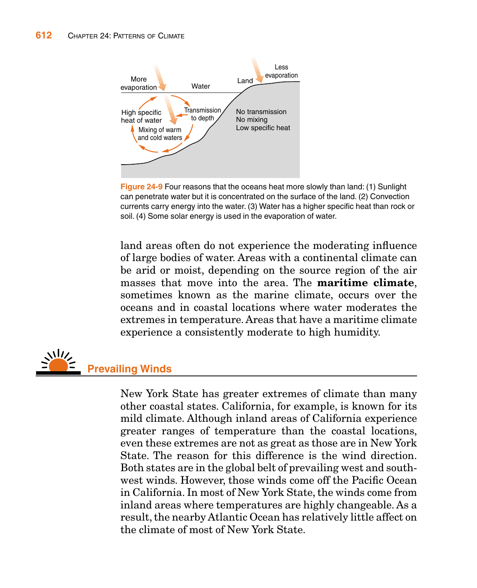

**Figure 24-9** Four reasons that the oceans heat more slowly than land: (1) Sunlight can penetrate water but it is concentrated on the surface of the land. (2) Convection currents carry energy into the water. (3) Water has a higher specific heat than rock or soil. (4) Some solar energy is used in the evaporation of water.

land areas often do not experience the moderating influence of large bodies of water. Areas with a continental climate can be arid or moist, depending on the source region of the air masses that move into the area. The **maritime climate**, sometimes known as the marine climate, occurs over the oceans and in coastal locations where water moderates the extremes in temperature. Areas that have a maritime climate experience a consistently moderate to high humidity.



New York State has greater extremes of climate than many other coastal states. California, for example, is known for its mild climate. Although inland areas of California experience greater ranges of temperature than the coastal locations, even these extremes are not as great as those are in New York State. The reason for this difference is the wind direction. Both states are in the global belt of prevailing west and southwest winds. However, those winds come off the Pacific Ocean in California. In most of New York State, the winds come from inland areas where temperatures are highly changeable. As a result, the nearby Atlantic Ocean has relatively little affect on the climate of most of New York State.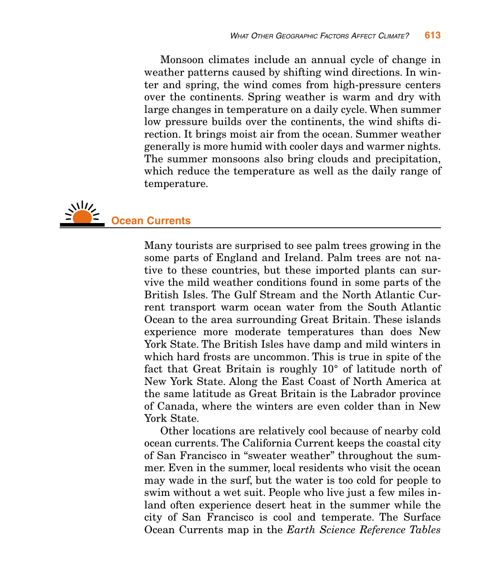Monsoon climates include an annual cycle of change in weather patterns caused by shifting wind directions. In winter and spring, the wind comes from high-pressure centers over the continents. Spring weather is warm and dry with large changes in temperature on a daily cycle. When summer low pressure builds over the continents, the wind shifts direction. It brings moist air from the ocean. Summer weather generally is more humid with cooler days and warmer nights. The summer monsoons also bring clouds and precipitation, which reduce the temperature as well as the daily range of temperature.



Many tourists are surprised to see palm trees growing in the some parts of England and Ireland. Palm trees are not native to these countries, but these imported plants can survive the mild weather conditions found in some parts of the British Isles. The Gulf Stream and the North Atlantic Current transport warm ocean water from the South Atlantic Ocean to the area surrounding Great Britain. These islands experience more moderate temperatures than does New York State. The British Isles have damp and mild winters in which hard frosts are uncommon. This is true in spite of the fact that Great Britain is roughly 10° of latitude north of New York State. Along the East Coast of North America at the same latitude as Great Britain is the Labrador province of Canada, where the winters are even colder than in New York State.

Other locations are relatively cool because of nearby cold ocean currents. The California Current keeps the coastal city of San Francisco in "sweater weather" throughout the summer. Even in the summer, local residents who visit the ocean may wade in the surf, but the water is too cold for people to swim without a wet suit. People who live just a few miles inland often experience desert heat in the summer while the city of San Francisco is cool and temperate. The Surface Ocean Currents map in the *Earth Science Reference Tables*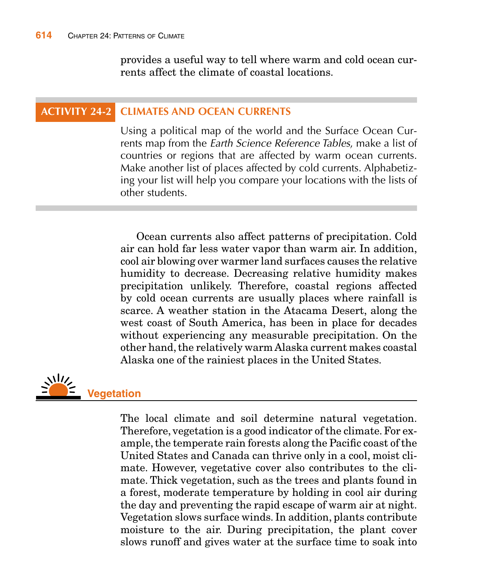provides a useful way to tell where warm and cold ocean currents affect the climate of coastal locations.

### **ACTIVITY 24-2 CLIMATES AND OCEAN CURRENTS**

Using a political map of the world and the Surface Ocean Currents map from the *Earth Science Reference Tables*, make a list of countries or regions that are affected by warm ocean currents. Make another list of places affected by cold currents. Alphabetizing your list will help you compare your locations with the lists of other students.

Ocean currents also affect patterns of precipitation. Cold air can hold far less water vapor than warm air. In addition, cool air blowing over warmer land surfaces causes the relative humidity to decrease. Decreasing relative humidity makes precipitation unlikely. Therefore, coastal regions affected by cold ocean currents are usually places where rainfall is scarce. A weather station in the Atacama Desert, along the west coast of South America, has been in place for decades without experiencing any measurable precipitation. On the other hand, the relatively warm Alaska current makes coastal Alaska one of the rainiest places in the United States.



The local climate and soil determine natural vegetation. Therefore, vegetation is a good indicator of the climate. For example, the temperate rain forests along the Pacific coast of the United States and Canada can thrive only in a cool, moist climate. However, vegetative cover also contributes to the climate. Thick vegetation, such as the trees and plants found in a forest, moderate temperature by holding in cool air during the day and preventing the rapid escape of warm air at night. Vegetation slows surface winds. In addition, plants contribute moisture to the air. During precipitation, the plant cover slows runoff and gives water at the surface time to soak into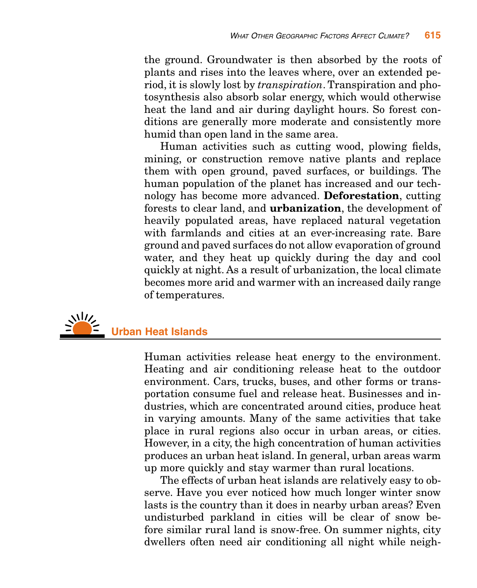the ground. Groundwater is then absorbed by the roots of plants and rises into the leaves where, over an extended period, it is slowly lost by *transpiration*. Transpiration and photosynthesis also absorb solar energy, which would otherwise heat the land and air during daylight hours. So forest conditions are generally more moderate and consistently more humid than open land in the same area.

Human activities such as cutting wood, plowing fields, mining, or construction remove native plants and replace them with open ground, paved surfaces, or buildings. The human population of the planet has increased and our technology has become more advanced. **Deforestation**, cutting forests to clear land, and **urbanization**, the development of heavily populated areas, have replaced natural vegetation with farmlands and cities at an ever-increasing rate. Bare ground and paved surfaces do not allow evaporation of ground water, and they heat up quickly during the day and cool quickly at night. As a result of urbanization, the local climate becomes more arid and warmer with an increased daily range of temperatures.



Human activities release heat energy to the environment. Heating and air conditioning release heat to the outdoor environment. Cars, trucks, buses, and other forms or transportation consume fuel and release heat. Businesses and industries, which are concentrated around cities, produce heat in varying amounts. Many of the same activities that take place in rural regions also occur in urban areas, or cities. However, in a city, the high concentration of human activities produces an urban heat island. In general, urban areas warm up more quickly and stay warmer than rural locations.

The effects of urban heat islands are relatively easy to observe. Have you ever noticed how much longer winter snow lasts is the country than it does in nearby urban areas? Even undisturbed parkland in cities will be clear of snow before similar rural land is snow-free. On summer nights, city dwellers often need air conditioning all night while neigh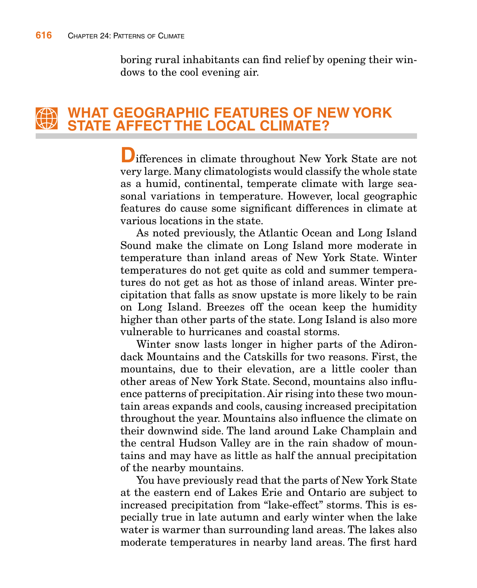boring rural inhabitants can find relief by opening their windows to the cool evening air.

## **WHAT GEOGRAPHIC FEATURES OF NEW YORK STATE AFFECT THE LOCAL CLIMATE?**

**D**ifferences in climate throughout New York State are not very large. Many climatologists would classify the whole state as a humid, continental, temperate climate with large seasonal variations in temperature. However, local geographic features do cause some significant differences in climate at various locations in the state.

As noted previously, the Atlantic Ocean and Long Island Sound make the climate on Long Island more moderate in temperature than inland areas of New York State. Winter temperatures do not get quite as cold and summer temperatures do not get as hot as those of inland areas. Winter precipitation that falls as snow upstate is more likely to be rain on Long Island. Breezes off the ocean keep the humidity higher than other parts of the state. Long Island is also more vulnerable to hurricanes and coastal storms.

Winter snow lasts longer in higher parts of the Adirondack Mountains and the Catskills for two reasons. First, the mountains, due to their elevation, are a little cooler than other areas of New York State. Second, mountains also influence patterns of precipitation. Air rising into these two mountain areas expands and cools, causing increased precipitation throughout the year. Mountains also influence the climate on their downwind side. The land around Lake Champlain and the central Hudson Valley are in the rain shadow of mountains and may have as little as half the annual precipitation of the nearby mountains.

You have previously read that the parts of New York State at the eastern end of Lakes Erie and Ontario are subject to increased precipitation from "lake-effect" storms. This is especially true in late autumn and early winter when the lake water is warmer than surrounding land areas. The lakes also moderate temperatures in nearby land areas. The first hard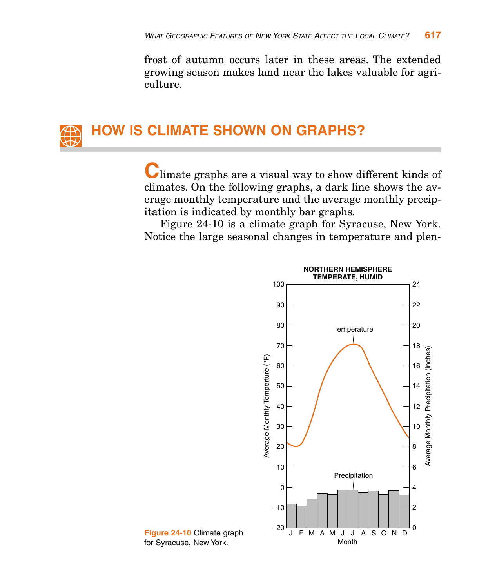frost of autumn occurs later in these areas. The extended growing season makes land near the lakes valuable for agriculture.

# **HOW IS CLIMATE SHOWN ON GRAPHS?**

**C**limate graphs are a visual way to show different kinds of climates. On the following graphs, a dark line shows the average monthly temperature and the average monthly precipitation is indicated by monthly bar graphs.

Figure 24-10 is a climate graph for Syracuse, New York. Notice the large seasonal changes in temperature and plen-



**Figure 24-10** Climate graph for Syracuse, New York.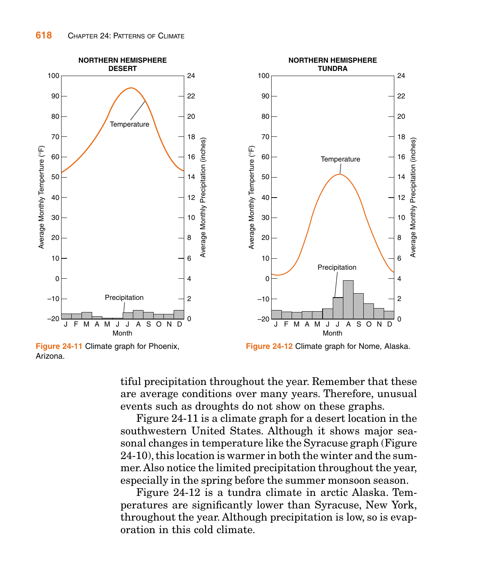

Arizona.

tiful precipitation throughout the year. Remember that these are average conditions over many years. Therefore, unusual events such as droughts do not show on these graphs.

Figure 24-11 is a climate graph for a desert location in the southwestern United States. Although it shows major seasonal changes in temperature like the Syracuse graph (Figure 24-10), this location is warmer in both the winter and the summer.Also notice the limited precipitation throughout the year, especially in the spring before the summer monsoon season.

Figure 24-12 is a tundra climate in arctic Alaska. Temperatures are significantly lower than Syracuse, New York, throughout the year. Although precipitation is low, so is evaporation in this cold climate.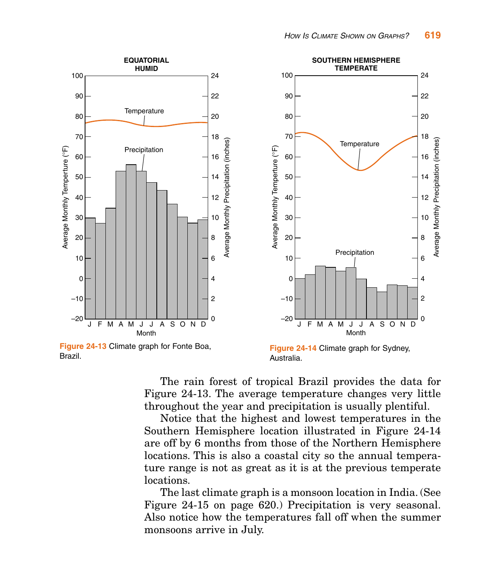

Brazil.

The rain forest of tropical Brazil provides the data for Figure 24-13. The average temperature changes very little throughout the year and precipitation is usually plentiful.

Notice that the highest and lowest temperatures in the Southern Hemisphere location illustrated in Figure 24-14 are off by 6 months from those of the Northern Hemisphere locations. This is also a coastal city so the annual temperature range is not as great as it is at the previous temperate locations.

The last climate graph is a monsoon location in India. (See Figure 24-15 on page 620.) Precipitation is very seasonal. Also notice how the temperatures fall off when the summer monsoons arrive in July.

**Figure 24-14** Climate graph for Sydney, Australia.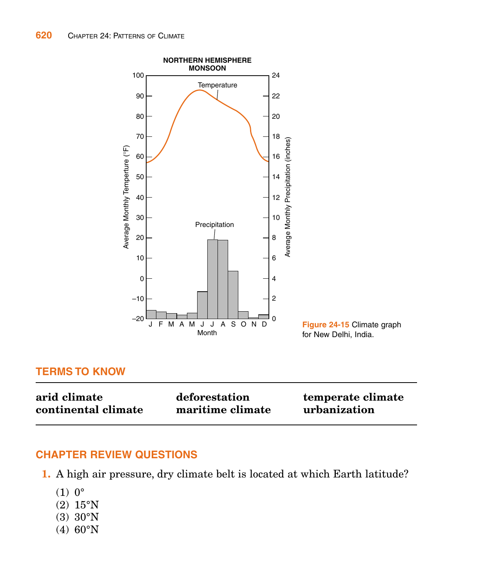

**Figure 24-15** Climate graph for New Delhi, India.

## **TERMS TO KNOW**

| arid climate        | deforestation    | temperate climate |
|---------------------|------------------|-------------------|
| continental climate | maritime climate | urbanization      |

### **CHAPTER REVIEW QUESTIONS**

- **1.** A high air pressure, dry climate belt is located at which Earth latitude?
	- $(1) 0^{\circ}$
	- (2) 15°N
	- (3) 30°N
	- (4) 60°N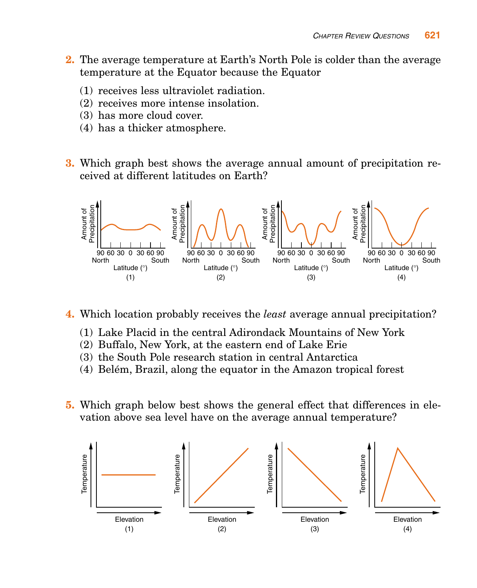- **2.** The average temperature at Earth's North Pole is colder than the average temperature at the Equator because the Equator
	- (1) receives less ultraviolet radiation.
	- (2) receives more intense insolation.
	- (3) has more cloud cover.
	- (4) has a thicker atmosphere.
- **3.** Which graph best shows the average annual amount of precipitation received at different latitudes on Earth?



- **4.** Which location probably receives the *least* average annual precipitation?
	- (1) Lake Placid in the central Adirondack Mountains of New York
	- (2) Buffalo, New York, at the eastern end of Lake Erie
	- (3) the South Pole research station in central Antarctica
	- (4) Belém, Brazil, along the equator in the Amazon tropical forest
- **5.** Which graph below best shows the general effect that differences in elevation above sea level have on the average annual temperature?

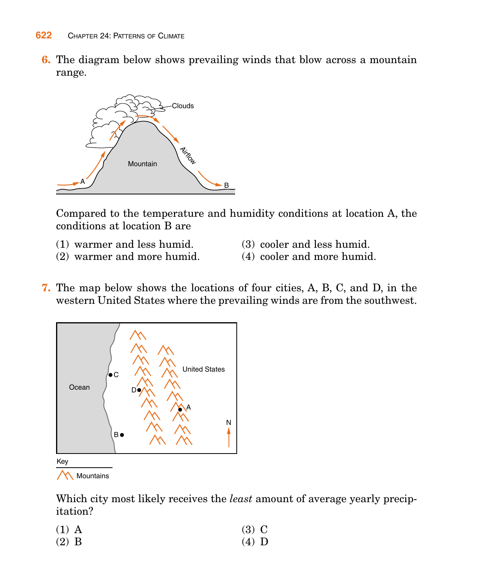**6.** The diagram below shows prevailing winds that blow across a mountain range.



Compared to the temperature and humidity conditions at location A, the conditions at location B are

- (1) warmer and less humid. (3) cooler and less humid.
- (2) warmer and more humid. (4) cooler and more humid.
- -
- **7.** The map below shows the locations of four cities, A, B, C, and D, in the western United States where the prevailing winds are from the southwest.



Which city most likely receives the *least* amount of average yearly precipitation?

- (1) A (3) C
- (2) B (4) D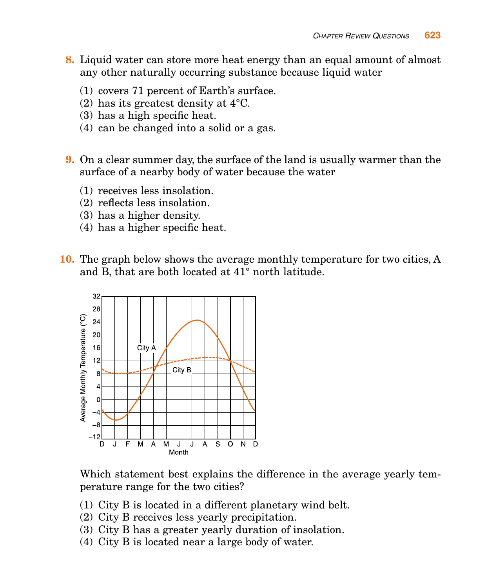- **8.** Liquid water can store more heat energy than an equal amount of almost any other naturally occurring substance because liquid water
	- (1) covers 71 percent of Earth's surface.
	- (2) has its greatest density at 4°C.
	- (3) has a high specific heat.
	- (4) can be changed into a solid or a gas.
- **9.** On a clear summer day, the surface of the land is usually warmer than the surface of a nearby body of water because the water
	- (1) receives less insolation.
	- (2) reflects less insolation.
	- (3) has a higher density.
	- (4) has a higher specific heat.
- **10.** The graph below shows the average monthly temperature for two cities, A and B, that are both located at 41° north latitude.



Which statement best explains the difference in the average yearly temperature range for the two cities?

- (1) City B is located in a different planetary wind belt.
- (2) City B receives less yearly precipitation.
- (3) City B has a greater yearly duration of insolation.
- (4) City B is located near a large body of water.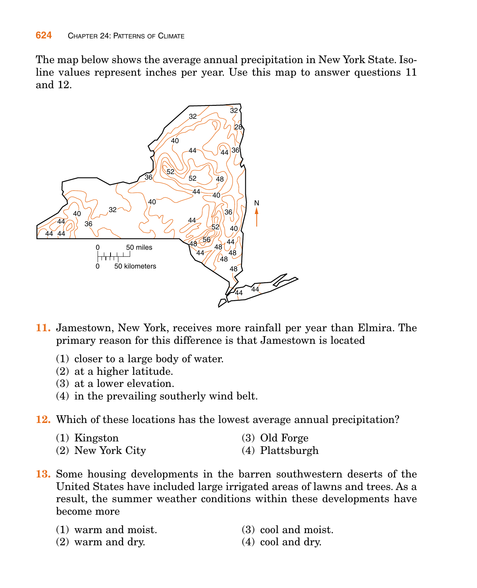The map below shows the average annual precipitation in New York State. Isoline values represent inches per year. Use this map to answer questions 11 and 12.



- **11.** Jamestown, New York, receives more rainfall per year than Elmira. The primary reason for this difference is that Jamestown is located
	- (1) closer to a large body of water.
	- (2) at a higher latitude.
	- (3) at a lower elevation.
	- (4) in the prevailing southerly wind belt.
- **12.** Which of these locations has the lowest average annual precipitation?
	- (1) Kingston (3) Old Forge
	- (2) New York City (4) Plattsburgh
- **13.** Some housing developments in the barren southwestern deserts of the United States have included large irrigated areas of lawns and trees. As a result, the summer weather conditions within these developments have become more
	- (1) warm and moist. (3) cool and moist.
		-
	- (2) warm and dry. (4) cool and dry.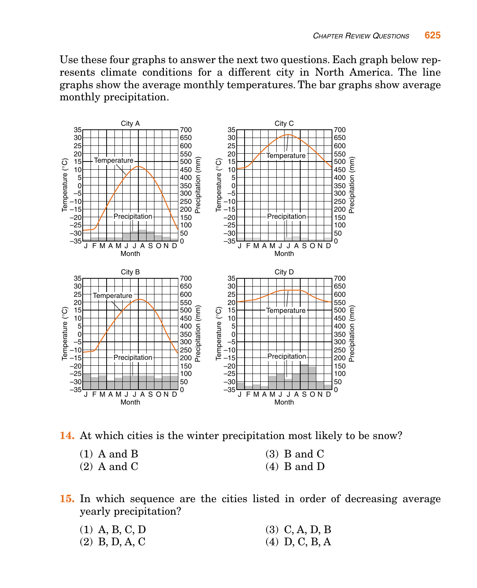Use these four graphs to answer the next two questions. Each graph below represents climate conditions for a different city in North America. The line graphs show the average monthly temperatures. The bar graphs show average monthly precipitation.



**14.** At which cities is the winter precipitation most likely to be snow?

| $(1)$ A and B | $(3)$ B and C |  |
|---------------|---------------|--|
| $(0)$ $(1)$   | $(1)$ n $1$ n |  |

- (2) A and C (4) B and D
- **15.** In which sequence are the cities listed in order of decreasing average yearly precipitation?
	- (1) A, B, C, D (3) C, A, D, B (2) B, D, A, C (4) D, C, B, A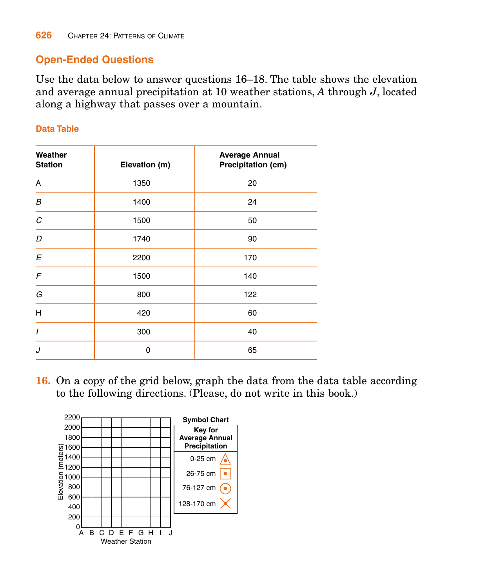## **Open-Ended Questions**

Use the data below to answer questions 16–18. The table shows the elevation and average annual precipitation at 10 weather stations, *A* through *J*, located along a highway that passes over a mountain.

#### **Data Table**

| Weather<br><b>Station</b> | Elevation (m) | <b>Average Annual</b><br><b>Precipitation (cm)</b> |
|---------------------------|---------------|----------------------------------------------------|
| Α                         | 1350          | 20                                                 |
| B                         | 1400          | 24                                                 |
| C                         | 1500          | 50                                                 |
| D                         | 1740          | 90                                                 |
| E                         | 2200          | 170                                                |
| F                         | 1500          | 140                                                |
| G                         | 800           | 122                                                |
| н                         | 420           | 60                                                 |
| $\overline{I}$            | 300           | 40                                                 |
| J                         | 0             | 65                                                 |

**16.** On a copy of the grid below, graph the data from the data table according to the following directions. (Please, do not write in this book.)